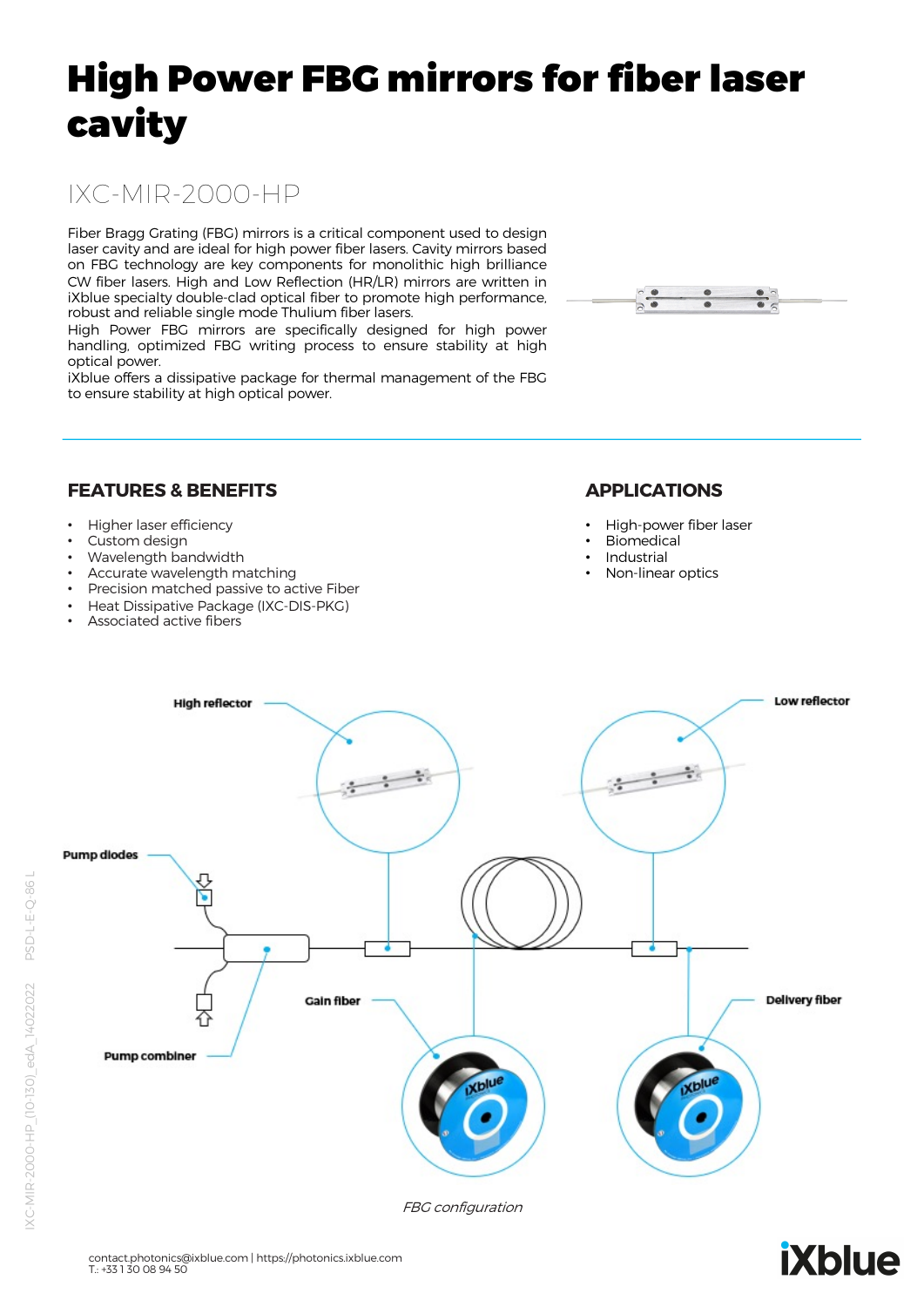# High Power FBG mirrors for fiber laser cavity

# IXC-MIR-2000-HP

Fiber Bragg Grating (FBG) mirrors is a critical component used to design laser cavity and are ideal for high power fiber lasers. Cavity mirrors based on FBG technology are key components for monolithic high brilliance CW fiber lasers. High and Low Reflection (HR/LR) mirrors are written in iXblue specialty double-clad optical fiber to promote high performance, robust and reliable single mode Thulium fiber lasers.

High Power FBG mirrors are specifically designed for high power handling, optimized FBG writing process to ensure stability at high optical power.

iXblue offers a dissipative package for thermal management of the FBG to ensure stability at high optical power.



#### **FEATURES & BENEFITS**

- Higher laser efficiency
- Custom design
- Wavelength bandwidth
- Accurate wavelength matching
- Precision matched passive to active Fiber
- Heat Dissipative Package (IXC-DIS-PKG)
- Associated active fibers

#### **APPLICATIONS**

- High-power fiber laser
- Biomedical
- **Industrial**
- Non-linear optics



FBG configuration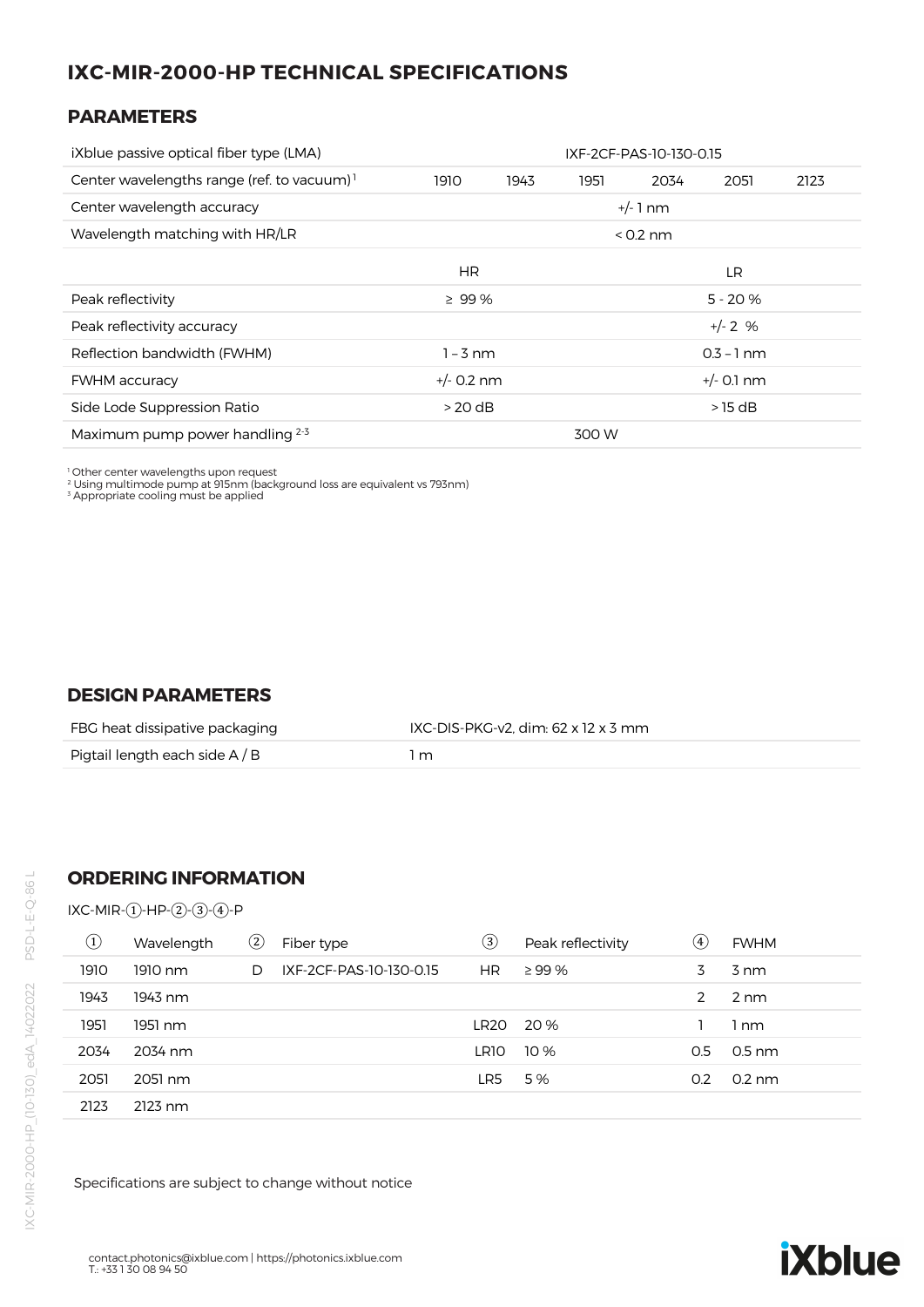## **IXC-MIR-2000-HP TECHNICAL SPECIFICATIONS**

#### **PARAMETERS**

| iXblue passive optical fiber type (LMA)       |                              | IXF-2CF-PAS-10-130-0.15 |           |              |           |      |
|-----------------------------------------------|------------------------------|-------------------------|-----------|--------------|-----------|------|
| Center wavelengths range (ref. to vacuum) $1$ | 1910                         | 1943                    | 1951      | 2034         | 2051      | 2123 |
| Center wavelength accuracy                    |                              | +/- 1 nm                |           |              |           |      |
| Wavelength matching with HR/LR                | $< 0.2$ nm                   |                         |           |              |           |      |
|                                               | HR.                          |                         |           |              | LR.       |      |
| Peak reflectivity                             | $\geq 99\%$                  |                         | $5 - 20%$ |              |           |      |
| Peak reflectivity accuracy                    |                              |                         |           |              | $+/- 2$ % |      |
| Reflection bandwidth (FWHM)                   | $1 - 3$ nm                   |                         |           | $0.3 - 1$ nm |           |      |
| <b>FWHM</b> accuracy                          | $+/- 0.2$ nm<br>$+/-$ 0.1 nm |                         |           |              |           |      |
| Side Lode Suppression Ratio                   | $>20$ dB                     |                         |           |              | $>15$ dB  |      |
| Maximum pump power handling 2-3               | 300 W                        |                         |           |              |           |      |

1 Other center wavelengths upon request 2 Using multimode pump at 915nm (background loss are equivalent vs 793nm) 3 Appropriate cooling must be applied

#### **DESIGN PARAMETERS**

| FBG heat dissipative packaging | IXC-DIS-PKG-v2, dim: 62 x 12 x 3 mm |
|--------------------------------|-------------------------------------|
| Pigtail length each side $A/B$ | . m                                 |

#### **ORDERING INFORMATION**

IXC-MIR-①-HP-②-③-④-P

| $\left( 1\right)$ | Wavelength | $^\mathrm{(2)}$ | Fiber type              | 3    | Peak reflectivity | $\circledast$ | <b>FWHM</b>      |
|-------------------|------------|-----------------|-------------------------|------|-------------------|---------------|------------------|
| 1910              | 1910 nm    | D.              | IXF-2CF-PAS-10-130-0.15 | HR.  | $\geq$ 99 %       | 3             | 3 nm             |
| 1943              | 1943 nm    |                 |                         |      |                   | $\mathcal{P}$ | 2 nm             |
| 1951              | 1951 nm    |                 |                         | LR20 | 20 %              |               | 1 nm             |
| 2034              | 2034 nm    |                 |                         | LR10 | 10 %              | 0.5           | $0.5$ nm         |
| 2051              | 2051 nm    |                 |                         | LR5  | 5%                | 0.2           | $0.2 \text{ nm}$ |
| 2123              | $2123$ nm  |                 |                         |      |                   |               |                  |

Specifications are subject to change without notice

# **iXblue**